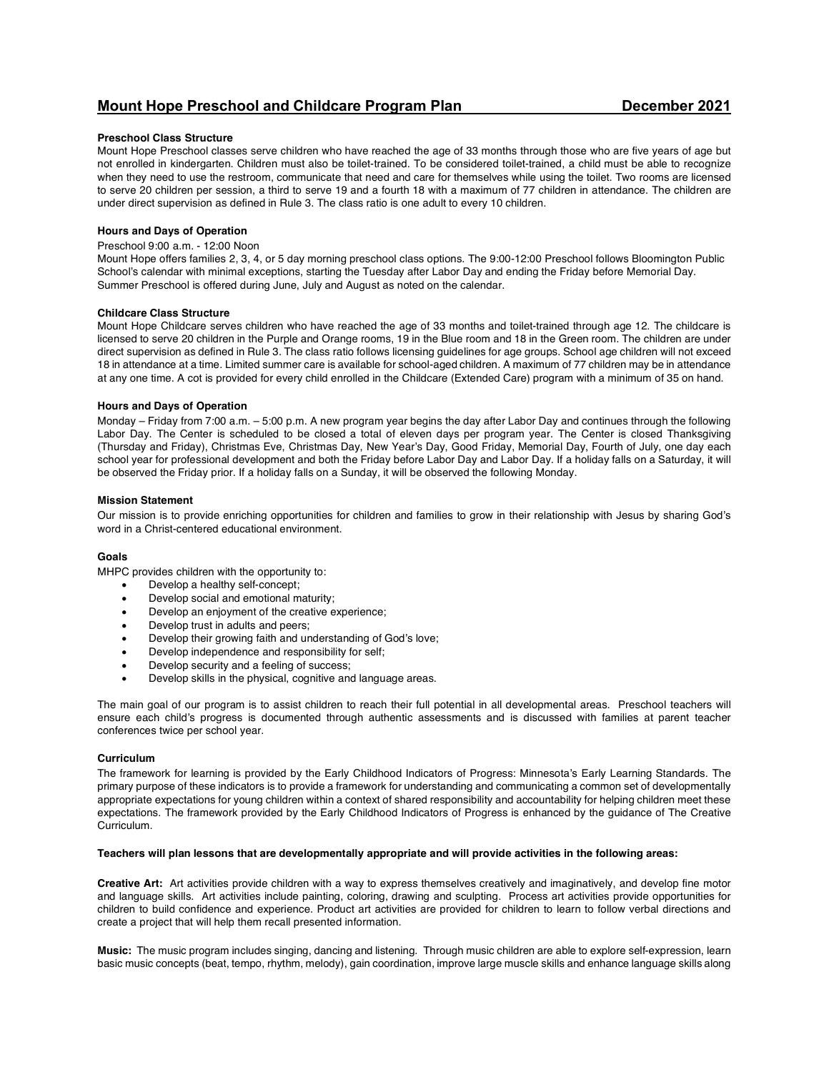# **Mount Hope Preschool and Childcare Program Plan December 2021**

### **Preschool Class Structure**

Mount Hope Preschool classes serve children who have reached the age of 33 months through those who are five years of age but not enrolled in kindergarten. Children must also be toilet-trained. To be considered toilet-trained, a child must be able to recognize when they need to use the restroom, communicate that need and care for themselves while using the toilet. Two rooms are licensed to serve 20 children per session, a third to serve 19 and a fourth 18 with a maximum of 77 children in attendance. The children are under direct supervision as defined in Rule 3. The class ratio is one adult to every 10 children.

### **Hours and Days of Operation**

#### Preschool 9:00 a.m. - 12:00 Noon

Mount Hope offers families 2, 3, 4, or 5 day morning preschool class options. The 9:00-12:00 Preschool follows Bloomington Public School's calendar with minimal exceptions, starting the Tuesday after Labor Day and ending the Friday before Memorial Day. Summer Preschool is offered during June, July and August as noted on the calendar.

### **Childcare Class Structure**

Mount Hope Childcare serves children who have reached the age of 33 months and toilet-trained through age 12. The childcare is licensed to serve 20 children in the Purple and Orange rooms, 19 in the Blue room and 18 in the Green room. The children are under direct supervision as defined in Rule 3. The class ratio follows licensing guidelines for age groups. School age children will not exceed 18 in attendance at a time. Limited summer care is available for school-aged children. A maximum of 77 children may be in attendance at any one time. A cot is provided for every child enrolled in the Childcare (Extended Care) program with a minimum of 35 on hand.

### **Hours and Days of Operation**

Monday – Friday from 7:00 a.m. – 5:00 p.m. A new program year begins the day after Labor Day and continues through the following Labor Day. The Center is scheduled to be closed a total of eleven days per program year. The Center is closed Thanksgiving (Thursday and Friday), Christmas Eve, Christmas Day, New Year's Day, Good Friday, Memorial Day, Fourth of July, one day each school year for professional development and both the Friday before Labor Day and Labor Day. If a holiday falls on a Saturday, it will be observed the Friday prior. If a holiday falls on a Sunday, it will be observed the following Monday.

### **Mission Statement**

Our mission is to provide enriching opportunities for children and families to grow in their relationship with Jesus by sharing God's word in a Christ-centered educational environment.

### **Goals**

MHPC provides children with the opportunity to:

- Develop a healthy self-concept;
- Develop social and emotional maturity;
- Develop an enjoyment of the creative experience;
- Develop trust in adults and peers;
- Develop their growing faith and understanding of God's love;
- Develop independence and responsibility for self;
- Develop security and a feeling of success;
- Develop skills in the physical, cognitive and language areas.

The main goal of our program is to assist children to reach their full potential in all developmental areas. Preschool teachers will ensure each child's progress is documented through authentic assessments and is discussed with families at parent teacher conferences twice per school year.

### **Curriculum**

The framework for learning is provided by the Early Childhood Indicators of Progress: Minnesota's Early Learning Standards. The primary purpose of these indicators is to provide a framework for understanding and communicating a common set of developmentally appropriate expectations for young children within a context of shared responsibility and accountability for helping children meet these expectations. The framework provided by the Early Childhood Indicators of Progress is enhanced by the guidance of The Creative Curriculum.

### Teachers will plan lessons that are developmentally appropriate and will provide activities in the following areas:

**Creative Art:** Art activities provide children with a way to express themselves creatively and imaginatively, and develop fine motor and language skills. Art activities include painting, coloring, drawing and sculpting. Process art activities provide opportunities for children to build confidence and experience. Product art activities are provided for children to learn to follow verbal directions and create a project that will help them recall presented information.

**Music:** The music program includes singing, dancing and listening. Through music children are able to explore self-expression, learn basic music concepts (beat, tempo, rhythm, melody), gain coordination, improve large muscle skills and enhance language skills along